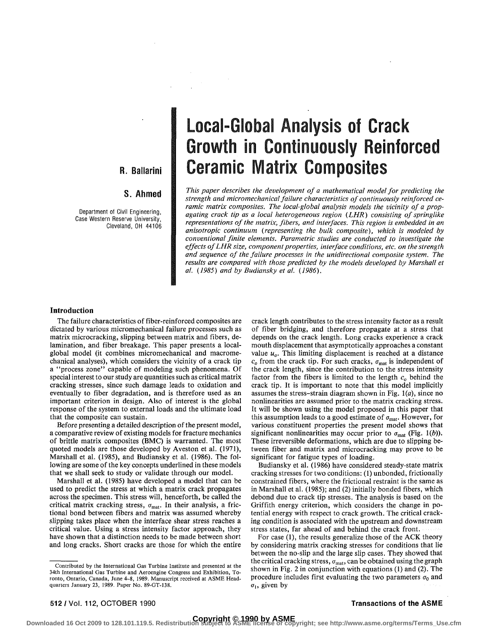# R. Ballarini

# S. Ahmed

Department of Civil Engineering, Case Western Reserve University, Cleveland, OH 44106

# Local-Global Analysis of Crack Growth in Continuously Reinforced Ceramic Matrix Composites

*This paper describes the development of a mathematical model for predicting the strength and micromechanical failure characteristics of continuously reinforced ceramic matrix composites. The local-global analysis models the vicinity of a propagating crack tip as a local heterogeneous region (LHR) consisting of springlike representations of the matrix, fibers, and interfaces. This region is embedded in an anisotropic continuum (representing the bulk composite), which is modeled by conventional finite elements. Parametric studies are conducted to investigate the effects of LHR size, component properties, interface conditions, etc. on the strength and sequence of the failure processes in the unidirectional composite system. The*  results are compared with those predicted by the models developed by Marshall et *al. (1985) and by Budiansky et al. (1986).* 

# **Introduction**

The failure characteristics of fiber-reinforced composites are dictated by various micromechanical failure processes such as matrix microcracking, slipping between matrix and fibers, delamination, and fiber breakage. This paper presents a localglobal model (it combines micromechanical and macromechanical analyses), which considers the vicinity of a crack tip a "process zone" capable of modeling such phenomena. Of special interest to our study are quantities such as critical matrix cracking stresses, since such damage leads to oxidation and eventually to fiber degradation, and is therefore used as an important criterion in design. Also of interest is the global response of the system to external loads and the ultimate load that the composite can sustain.

Before presenting a detailed description of the present model, a comparative review of existing models for fracture mechanics of brittle matrix composites (BMC) is warranted. The most quoted models are those developed by Aveston et al. (1971), Marshall et al. (1985), and Budiansky et al. (1986). The following are some of the key concepts underlined in these models that we shall seek to study or validate through our model.

Marshall et al. (1985) have developed a model that can be used to predict the stress at which a matrix crack propagates across the specimen. This stress will, henceforth, be called the critical matrix cracking stress,  $\sigma_{\text{mat}}$ . In their analysis, a frictional bond between fibers and matrix was assumed whereby slipping takes place when the interface shear stress reaches a critical value. Using a stress intensity factor approach, they have shown that a distinction needs to be made between short and long cracks. Short cracks are those for which the entire

crack length contributes to the stress intensity factor as a result of fiber bridging, and therefore propagate at a stress that depends on the crack length. Long cracks experience a crack mouth displacement that asymptotically approaches a constant value  $u<sub>o</sub>$ . This limiting displacement is reached at a distance  $c<sub>o</sub>$  from the crack tip. For such cracks,  $\sigma_{\text{mat}}$  is independent of the crack length, since the contribution to the stress intensity factor from the fibers is limited to the length *c0* behind the crack tip. It is important to note that this model implicitly assumes the stress-strain diagram shown in Fig.  $1(a)$ , since no nonlinearities are assumed prior to the matrix cracking stress. It will be shown using the model proposed in this paper that this assumption leads to a good estimate of  $\sigma_{\text{mat}}$ . However, for various constituent properties the present model shows that significant nonlinearities may occur prior to  $\sigma_{\text{mat}}$  (Fig. 1(b)). These irreversible deformations, which are due to slipping between fiber and matrix and microcracking may prove to be significant for fatigue types of loading.

Budiansky et al. (1986) have considered steady-state matrix cracking stresses for two conditions: (1) unbonded, frictionally constrained fibers, where the frictional restraint is the same as in Marshall et al. (1985); and (2) initially bonded fibers, which debond due to crack tip stresses. The analysis is based on the Griffith energy criterion, which considers the change in potential energy with respect to crack growth. The critical cracking condition is associated with the upstream and downstream stress states, far ahead of and behind the crack front.

For case (1), the results generalize those of the ACK theory by considering matrix cracking stresses for conditions that lie between the no-slip and the large slip cases. They showed that the critical cracking stress,  $\sigma_{\text{mat}}$ , can be obtained using the graph shown in Fig. 2 in conjunction with equations (1) and (2). The procedure includes first evaluating the two parameters  $\sigma_0$  and  $\sigma_1$ , given by

Contributed by the International Gas Turbine Institute and presented at the 34th International Gas Turbine and Aeroengine Congress and Exhibition, Toronto, Ontario, Canada, June 4-8, 1989. Manuscript received at ASME Headquarters January 23, 1989. Paper No. 89-GT-138.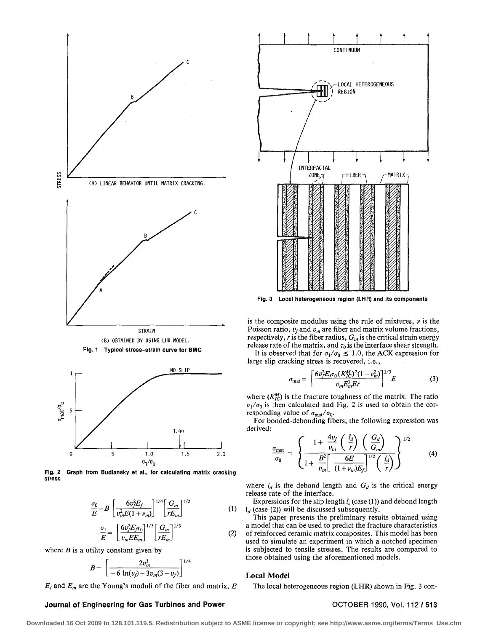

**Fig. 2 Graph from Budiansky et al., for calculating matrix cracking stress** 

$$
\frac{\sigma_0}{E} = B \left[ \frac{6v_f^2 E_f}{v_m^2 E (1 + v_m)} \right]^{1/4} \left[ \frac{G_m}{r E_m} \right]^{1/2}
$$
(1)

$$
\frac{\sigma_1}{E} = \left[ \frac{6 v_f^2 E_f \tau_0}{v_m E E_m} \right]^{1/3} \left[ \frac{G_m}{r E_m} \right]^{1/3} \tag{2}
$$

where  $B$  is a utility constant given by

$$
B = \left[\frac{2v_m^3}{-6\ln(v_j) - 3v_m(3 - v_j)}\right]^{1/4}
$$

 $E_f$  and  $E_m$  are the Young's moduli of the fiber and matrix,  $E$ 

# **Journal of Engineering for Gas Turbines and Power Manufacture 1990, Vol. 112 / 513**



**Fig. 3 Local heterogeneous region (LHR) and its components** 

is the composite modulus using the rule of mixtures, *v* is the Poisson ratio,  $v_f$  and  $v_m$  are fiber and matrix volume fractions, respectively, *r* is the fiber radius, *Gm* is the critical strain energy release rate of the matrix, and  $\tau_0$  is the interface shear strength.

It is observed that for  $\sigma_1/\sigma_0 \leq 1.0$ , the ACK expression for large slip cracking stress is recovered, i.e.,

$$
\sigma_{\text{mat}} = \left[ \frac{6 v_f^2 E_f \tau_0 (K_{IC}^M)^2 (1 - v_m^2)}{v_m E_m^3 E r} \right]^{1/3} E \tag{3}
$$

where  $(K_{IC}^M)$  is the fracture toughness of the matrix. The ratio  $\sigma_1/\sigma_0$  is then calculated and Fig. 2 is used to obtain the corresponding value of  $\sigma_{\text{mat}}/\sigma_0$ .

For bonded-debonding fibers, the following expression was derived:

$$
\frac{\sigma_{\text{mat}}}{\sigma_0} = \left\{ \frac{1 + \frac{4v_f}{v_m} \left(\frac{l_d}{r}\right) \left(\frac{G_d}{G_m}\right)}{1 + \frac{B^2}{v_m} \left[\frac{6E}{(1 + v_m)E_f}\right]^{1/2} \left(\frac{l_d}{r}\right)} \right\}^{1/2} \tag{4}
$$

where  $l_d$  is the debond length and  $G_d$  is the critical energy release rate of the interface.

Expressions for the slip length  $l_s$  (case (1)) and debond length  $\mathbf{l}_d$  (case (2)) will be discussed subsequently.

This paper presents the preliminary results obtained using a model that can be used to predict the fracture characteristics of reinforced ceramic matrix composites. This model has been used to simulate an experiment in which a notched specimen is subjected to tensile stresses. The results are compared to those obtained using the aforementioned models.

# **Local Model**

The local heterogeneous region (LHR) shown in Fig. 3 con-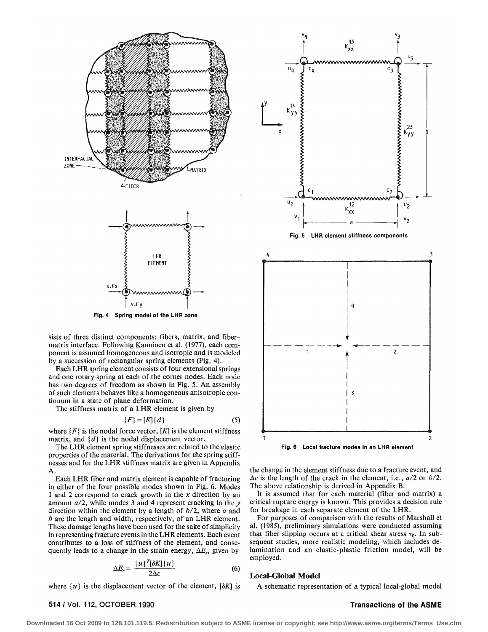

sists of three distinct components: fibers, matrix, and fibermatrix interface. Following Kanninen et al. (1977), each component is assumed homogeneous and isotropic and is modeled by a succession of rectangular spring elements (Fig. 4).

Each LHR spring element consists of four extensional springs and one rotary spring at each of the corner nodes. Each node has two degrees of freedom as shown in Fig. 5. An assembly of such elements behaves like a homogeneous anisotropic continuum in a state of plane deformation.

The stiffness matrix of a LHR element is given by

$$
\{F\} = [K] \{d\} \tag{5}
$$

where  $\{F\}$  is the nodal force vector,  $[K]$  is the element stiffness matrix, and *[d]* is the nodal displacement vector.

The LHR element spring stiffnesses are related to the elastic properties of the material. The derivations for the spring stiffnesses and for the LHR stiffness matrix are given in Appendix A.

Each LHR fiber and matrix element is capable of fracturing in either of the four possible modes shown in Fig. 6. Modes 1 and 2 correspond to crack growth in the *x* direction by an amount *a/2,* while modes 3 and 4 represent cracking in the *y*  direction within the element by a length of *b/2,* where *a* and *b* are the length and width, respectively, of an LHR element. These damage lengths have been used for the sake of simplicity in representing fracture events in the LHR elements. Each event contributes to a loss of stiffness of the element, and consequently leads to a change in the strain energy,  $\Delta E_s$ , given by

$$
\Delta E_s = \frac{\{u\}^T[\delta K](u)}{2\Delta c} \tag{6}
$$

where  $\{u\}$  is the displacement vector of the element,  $[\delta K]$  is

### 514 / Vol. 112, OCTOBER 1990 **Transactions of the ASME**



the change in the element stiffness due to a fracture event, and Ac is the length of the crack in the element, i.e., *a/2* or *b/2.*  The above relationship is derived in Appendix B.

It is assumed that for each material (fiber and matrix) a critical rupture energy is known. This provides a decision rule for breakage in each separate element of the LHR.

. For purposes of comparison with the results of Marshall et al. (1985), preliminary simulations were conducted assuming that fiber slipping occurs at a critical shear stress  $\tau_0$ . In subsequent studies, more realistic modeling, which includes delamination and an elastic-plastic friction model, will be employed.

# **Local-Global Model**

A schematic representation of a typical local-global model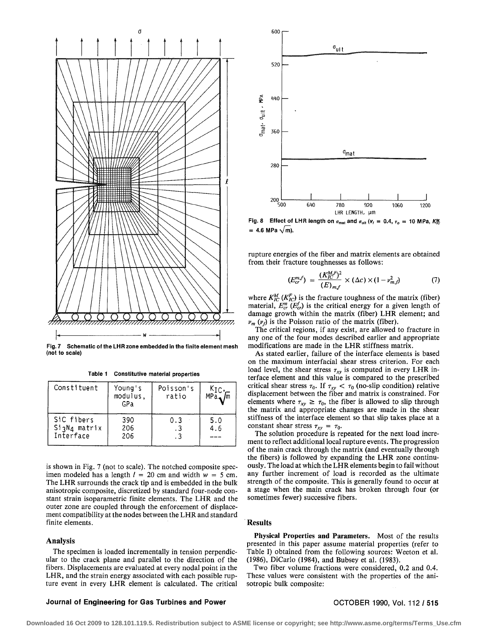

**Fig. 7 Schematic of the LHR zone embedded in the finite element mesh (not to scale)** 

**Table 1 Constitutive material properties** 

| Constituent                             | Young's<br>modulus,<br>GPa | Poisson's<br>ratio | $K_{\text{IC}}$ ,<br>$MPa$ $\sqrt{m}$ |
|-----------------------------------------|----------------------------|--------------------|---------------------------------------|
| SiC fibers<br>SigN4 matrix<br>Interface | 390<br>206<br>206          | 0.3<br>. 3<br>. 3  | 5.0<br>4.6                            |

is shown in Fig. 7 (not to scale). The notched composite specimen modeled has a length  $l = 20$  cm and width  $w = 5$  cm. The LHR surrounds the crack tip and is embedded in the bulk anisotropic composite, discretized by standard four-node constant strain isoparametric finite elements. The LHR and the outer zone are coupled through the enforcement of displacement compatibility at the nodes between the LHR and standard finite elements.

### **Analysis**

The specimen is loaded incrementally in tension perpendicular to the crack plane and parallel to the direction of the fibers. Displacements are evaluated at every nodal point in the LHR, and the strain energy associated with each possible rupture event in every LHR element is calculated. The critical



**Fig. 8** Effect of LHR length on  $\sigma_{\text{mat}}$  and  $\sigma_{\text{ult}}$  ( $v_f = 0.4$ ,  $\tau_o = 10$  MPa, K $\frac{M}{C}$  $= 4.6$  MPa  $\sqrt{m}$ ).

rupture energies of the fiber and matrix elements are obtained from their fracture toughnesses as follows:

$$
(E_{cr}^{m,f}) = \frac{(K_{IC}^{M,F})^2}{(E)_{m,f}} \times (\Delta c) \times (1 - \nu_{m,f}^2)
$$
 (7)

where  $K_{IC}^M$  ( $K_{IC}^F$ ) is the fracture toughness of the matrix (fiber) material,  $E_{cr}^{m}$  ( $E_{cr}^{f}$ ) is the critical energy for a given length of damage growth within the matrix (fiber) LHR element; and  $\nu_m$  ( $\nu_f$ ) is the Poisson ratio of the matrix (fiber).

The critical regions, if any exist, are allowed to fracture in any one of the four modes described earlier and appropriate modifications are made in the LHR stiffness matrix.

As stated earlier, failure of the interface elements is based on the maximum interfacial shear stress criterion. For each load level, the shear stress  $\tau_{xy}$  is computed in every LHR interface element and this value is compared to the prescribed critical shear stress  $\tau_0$ . If  $\tau_{xy} < \tau_0$  (no-slip condition) relative displacement between the fiber and matrix is constrained. For elements where  $\tau_{xy} \geq \tau_0$ , the fiber is allowed to slip through the matrix and appropriate changes are made in the shear stiffness of the interface element so that slip takes place at a constant shear stress  $\tau_{xy} = \tau_0$ .

The solution procedure is repeated for the next load increment to reflect additional local rupture events. The progression of the main crack through the matrix (and eventually through the fibers) is followed by expanding the LHR zone continuously. The load at which the LHR elements begin to fail without any further increment of load is recorded as the ultimate strength of the composite. This is generally found to occur at a stage when the main crack has broken through four (or sometimes fewer) successive fibers.

### **Results**

**Physical Properties and Parameters.** Most of the results presented in this paper assume material properties (refer to Table I) obtained from the following sources: Weeton et al. (1986), DiCarlo (1984), and Bubsey et al. (1983).

Two fiber volume fractions were considered, 0.2 and 0.4. These values were consistent with the properties of the anisotropic bulk composite:

### **Journal of Engineering for Gas Turbines and Power Manufacture 1990, Vol. 112 / 515 <b>COTOBER 1990, Vol. 112 / 515**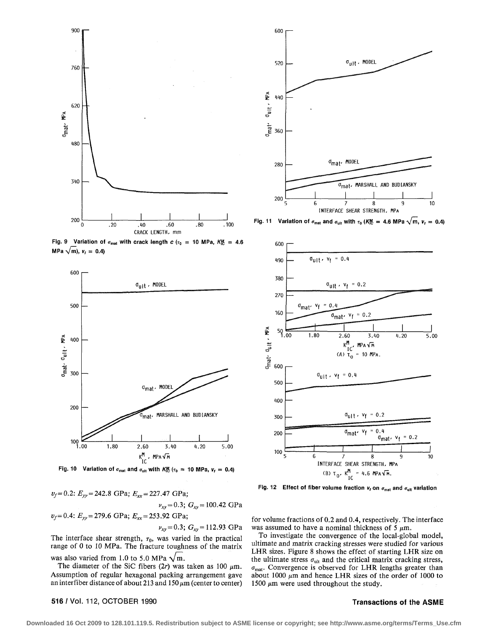

**Fig. 9** Variation of  $\sigma_{\text{mat}}$  with crack length  $c$  ( $\tau_0 = 10$  MPa,  $K_E^M = 4.6$ **MPa**  $\sqrt{m}$ ,  $v_f = 0.4$ 



**Fig. 10** Variation of  $\sigma_{\text{mat}}$  and  $\sigma_{\text{ult}}$  with K $\frac{M}{C}$  ( $\tau_0$  = 10 MPa,  $v_f$  = 0.4)

 $v_f = 0.2$ :  $E_{yy} = 242.8$  GPa;  $E_{xx} = 227.47$  GPa;  $v_{xy} = 0.3$ ;  $G_{xy} = 100.42$  GPa  $v_f = 0.4$ :  $E_{yy} = 279.6$  GPa;  $E_{xx} = 253.92$  GPa;  $v_{xy} = 0.3$ ;  $G_{xy} = 112.93$  GPa

The interface shear strength,  $\tau_0$ , was varied in the practical range of 0 to 10 MPa. The fracture toughness of the matrix was also varied from 1.0 to 5.0 MPa  $\sqrt{m}$ .

The diameter of the SiC fibers (2r) was taken as 100  $\mu$ m. Assumption of regular hexagonal packing arrangement gave an interfiber distance of about 213 and 150  $\mu$ m (center to center)

# **516** / Vol. 112, OCTOBER 1990 **Transactions of the ASME**



**Fig.** 11 Variation of  $\sigma_{\text{mat}}$  and  $\sigma_{\text{ult}}$  with  $\tau_0$  (K $\frac{M}{C}$  = 4.6 MPa  $\sqrt{m}$ ,  $v_f = 0.4$ )





for volume fractions of 0.2 and 0.4, respectively. The interface was assumed to have a nominal thickness of 5  $\mu$ m.

To investigate the convergence of the local-global model, ultimate and matrix cracking stresses were studied for various LHR sizes. Figure 8 shows the effect of starting LHR size on the ultimate stress  $\sigma_{ult}$  and the critical matrix cracking stress,  $\sigma_{\text{mat}}$ . Convergence is observed for LHR lengths greater than about 1000  $\mu$ m and hence LHR sizes of the order of 1000 to 1500  $\mu$ m were used throughout the study.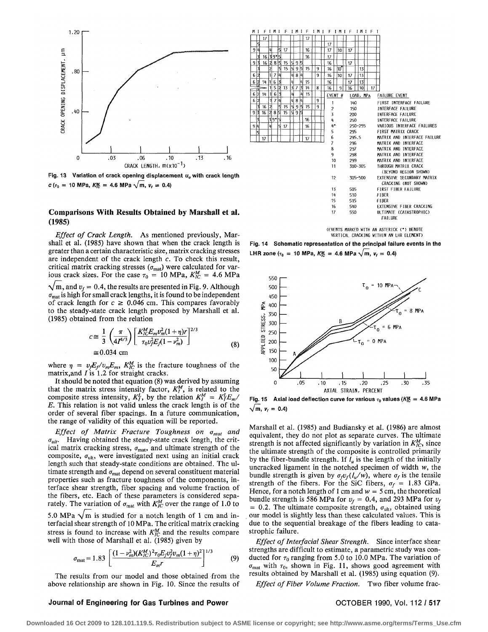

Fig. 13 Variation of crack opening displacement u<sub>o</sub> with crack length  $c(r_0 = 10 \text{ MPa}, K_{cc} = 4.6 \text{ MPa} \sqrt{\text{m}}, v_t = 0.4)$ 

# **Comparisons With Results Obtained by Marshall et al. (1985)**

*Effect of Crack Length.* As mentioned previously, Marshall et al. (1985) have shown that when the crack length is greater than a certain characteristic size, matrix cracking stresses are independent of the crack length c. To check this result, critical matrix cracking stresses  $(\sigma_{\text{mat}})$  were calculated for various crack sizes. For the case  $\tau_0 = 10 \text{ MPa}$ ,  $K_{IC}^M = 4.6 \text{ MPa}$  $\sqrt{m}$ , and  $v_f = 0.4$ , the results are presented in Fig. 9. Although  $\sigma_{\text{mat}}$  is high for small crack lengths, it is found to be independent of crack length for  $c \ge 0.046$  cm. This compares favorably to the steady-state crack length proposed by Marshall et al. (1985) obtained from the relation

$$
c \approx \frac{1}{3} \left( \frac{\pi}{4I^{4/3}} \right) \left[ \frac{K_{IC}^M E_m v_m^2 (1 + \eta) r}{\tau_0 v_f^2 E_f (1 - v_m^2)} \right]^{2/3}
$$
  
 
$$
\approx 0.034 \text{ cm}
$$
 (8)

where  $\eta = v_f E_f/v_m E_m$ ,  $K_{IC}^M$  is the fracture toughness of the matrix, and  $I$  is 1.2 for straight cracks.

It should be noted that equation (8) was derived by assuming that the matrix stress intensity factor,  $K_I^M$ , is related to the composite stress intensity,  $K_I^L$ , by the relation  $K_I^M = K_I^L E_m / I$ *E.* This relation is not valid unless the crack length is of the order of several fiber spacings. In a future communication, the range of validity of this equation will be reported.

*Effect of Matrix Fracture Toughness on amat and*   $\sigma_{ult}$ . Having obtained the steady-state crack length, the critical matrix cracking stress,  $\sigma_{\text{mat}}$ , and ultimate strength of the composite,  $\sigma_{ult}$ , were investigated next using an initial crack length such that steady-state conditions are obtained. The ultimate strength and  $\sigma_{\text{mat}}$  depend on several constituent material properties such as fracture toughness of the components, interface shear strength, fiber spacing and volume fraction of the fibers, etc. Each of these parameters is considered separately. The variation of  $\sigma_{\text{mat}}$  with  $K_{IC}^M$  over the range of 1.0 to

5.0 MPa  $\sqrt{m}$  is studied for a notch length of 1 cm and interfacial shear strength of 10 MPa. The critical matrix cracking stress is found to increase with  $K_{IC}^M$  and the results compare well with those of Marshall et al. (1985) given by

$$
\sigma_{\text{mat}} = 1.83 \left[ \frac{(1 - \nu_m^2)(K_{IC}^M)^2 \tau_0 E_J v_J^2 v_m (1 + \eta)^2}{E_m r} \right]^{1/3} \tag{9}
$$

The results from our model and those obtained from the above relationship are shown in Fig. 10. Since the results of

### $17$ 16  $17$ 10  $1639$ <sup>\*</sup>  $\sqrt{16}$  $17$  $\frac{16}{3}$  3 3 5  $9\overline{3}$ 15  $\overline{16}$ 17  $\frac{13}{15}$  5 9 5  $\overline{15}$  $\overline{16}$  $\overline{10}$ वि  $\overline{10}$  $481$ 9  $16$  $\overline{17}$  $113$  $\frac{4}{7}$  15<br> $\frac{7}{3}$  14  $14 | 16$ 16  $\overline{17}$  $16$  $9$   $16$   $10$  $\overline{6}$  $14|16|$  $415$ EVENT # LOAD, MPA FAILURE EVENT 4 8 110 FIRST INTERFACE FAILURE  $\frac{1}{3}$  16 2 5<br>3 16 2 8 5  $\overline{15}$  $\overline{15}$ 2 150 INTERFACE FAILURE ৰা  $\overline{15}$ 19 INTERFACE FAILURE 3 200  $16$ 250 INTERFACE FAILURE q i\* VARIOUS INTERFACE FAILURES  $16$ 250-295  $17$ 295 FIRST MATRIX CRACK 5 MATRIX AND INTERFACE FAILURE 295.5 e 296 MATRIX AND INTERFACE 7 297 MATRIX AND INTERFACE 8 9 298 MATRIX AND INTERFACE 10 299 MATRIX AND INTERFACE 11 300-305 THROUGH MATRIX CRACK (BEYOND REGION SHOWN)  $12$ 305-500 EXTENSIVE SECONDARY MATRIX CRACKING (NOT SHOWN) 13 FIRST FIBER FAILURE 505 510 FIBER 11 15 515 FIBER IS EXTENSIVE FIBER CRACKING 510 17 550 ULTIMATE (CATASTROPHIC) FAILURE

(EVENTS MARKED WITH AN ASTERICK (\*) DENOTE VERTICAL CRACKING WITHIN AN LHR ELEMENT)

**Fig. 14 Schematic representation of the principal failure events in the LHR zone** ( $\tau_0$  = 10 MPa,  $K_K^M$  = 4.6 MPa  $\sqrt{m}$ ,  $v_f$  = 0.4)



Fig. 15  $\,$  Axial load deflection curve for various  $\tau_0$  values (K½  $\,$  =  $\,$  4.6 MPa  $\,$  $\sqrt{m}$ ,  $v_f = 0.4$ 

Marshall et al. (1985) and Budiansky et al. (1986) are almost equivalent, they do not plot as separate curves. The ultimate strength is not affected significantly by variation in  $K_{IC}^M$ , since the ultimate strength of the composite is controlled primarily by the fiber-bundle strength. If  $l_u$  is the length of the initially uncracked ligament in the notched specimen of width w, the bundle strength is given by  $\sigma_f v_f(l_u/w)$ , where  $\sigma_f$  is the tensile strength of the fibers. For the SiC fibers,  $\sigma_f = 1.83$  GPa. Hence, for a notch length of 1 cm and  $w = 5$  cm, the theoretical bundle strength is 586 MPa for  $v_f = 0.4$ , and 293 MPa for  $v_f$  $= 0.2$ . The ultimate composite strength,  $\sigma_{\text{ult}}$ , obtained using our model is slightly less than these calculated values. This is due to the sequential breakage of the fibers leading to catastrophic failure.

*Effect of Interfacial Shear Strength.* Since interface shear strengths are difficult to estimate, a parametric study was conducted for  $\tau_0$  ranging from 5.0 to 10.0 MPa. The variation of  $\sigma_{\text{mat}}$  with  $\tau_0$ , shown in Fig. 11, shows good agreement with results obtained by Marshall et al. (1985) using equation (9).

*Effect of Fiber Volume Fraction.* Two fiber volume frac-

### **Journal of Engineering for Gas Turbines and Power OCTOBER 1990, Vol. 112 / 517**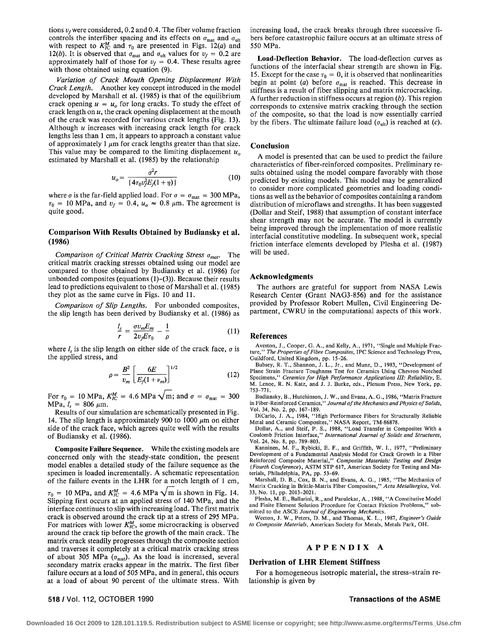tions  $v_f$  were considered, 0.2 and 0.4. The fiber volume fraction controls the interfiber spacing and its effects on  $\sigma_{\text{mat}}$  and  $\sigma_{\text{ult}}$ with respect to  $K_{IC}^M$  and  $\tau_0$  are presented in Figs. 12(*a*) and 12(*b*). It is observed that  $\sigma_{\text{mat}}$  and  $\sigma_{\text{ult}}$  values for  $v_f = 0.2$  are approximately half of those for  $v_f = 0.4$ . These results agree with those obtained using equation  $(9)$ .

*Variation of Crack Mouth Opening Displacement With Crack Length.* Another key concept introduced in the model developed by Marshall et al. (1985) is that of the equilibrium crack opening  $u = u_0$  for long cracks. To study the effect of crack length on *u,* the crack opening displacement at the mouth of the crack was recorded for various crack lengths (Fig. 13). Although *u* increases with increasing crack length for crack lengths less than 1 cm, it appears to approach a constant value of approximately 1  $\mu$ m for crack lengths greater than that size. This value may be compared to the limiting displacement  $u_0$ estimated by Marshall et al. (1985) by the relationship

$$
u_o = \frac{\sigma^2 r}{\{4\tau_0 v_f^2 E_f (1+\eta)\}}
$$
(10)

where  $\sigma$  is the far-field applied load. For  $\sigma = \sigma_{\text{mat}} = 300 \text{ MPa}$ ,  $\tau_0 = 10$  MPa, and  $v_f = 0.4$ ,  $u_o \approx 0.8$   $\mu$ m. The agreement is quite good.

### **Comparison With Results Obtained by Budiansky et al. (1986)**

*Comparison of Critical Matrix Cracking Stress amat.* The critical matrix cracking stresses obtained using our model are compared to those obtained by Budiansky et al. (1986) for unbonded composites (equations  $(1)-(3)$ ). Because their results lead to predictions equivalent to those of Marshall et al. (1985) they plot as the same curve in Figs. 10 and 11.

*Comparison of Slip Lengths.* For unbonded composites, the slip length has been derived by Budiansky et al. (1986) as

$$
\frac{l_s}{r} = \frac{\sigma v_m E_m}{2 v_f E \tau_0} - \frac{1}{\rho} \tag{11}
$$

where  $l_s$  is the slip length on either side of the crack face,  $\sigma$  is the applied stress, and

$$
\rho = \frac{B^2}{v_m} \left[ \frac{6E}{E_f(1 + v_m)} \right]^{1/2} \tag{12}
$$

For  $\tau_0 = 10 \text{ MPa}$ ,  $K_{IC}^M = 4.6 \text{ MPa} \sqrt{\text{m}}$ ; and  $\sigma = \sigma_{\text{mat}} = 300$  $MPa, l_s = 806 \mu m.$ 

Results of our simulation are schematically presented in Fig. 14. The slip length is approximately 900 to 1000  $\mu$ m on either side of the crack face, which agrees quite well with the results of Budiansky et al. (1986).

**Composite Failure Sequence.** While the existing models are concerned only with the steady-state condition, the present model enables a detailed study of the failure sequence as the specimen is loaded incrementally. A schematic representation of the failure events in the LHR for a notch length of 1 cm,  $\tau_0$  = 10 MPa, and  $K_{IC}^M$  = 4.6 MPa  $\sqrt{m}$  is shown in Fig. 14. Slipping first occurs at an applied stress of 140 MPa, and the interface continues to slip with increasing load. The first matrix crack is observed around the crack tip at a stress of 295 MPa. For matrices with lower  $K_{IC}^M$ , some microcracking is observed around the crack tip before the growth of the main crack. The matrix crack steadily progresses through the composite section and traverses it completely at a critical matrix cracking stress of about 305 MPa ( $\sigma_{\text{mat}}$ ). As the load is increased, several

secondary matrix cracks appear in the matrix. The first fiber failure occurs at a load of 505 MPa, and in general, this occurs at a load of about 90 percent of the ultimate stress. With increasing load, the crack breaks through three successive fibers before catastrophic failure occurs at an ultimate stress of 550 MPa.

**Load-Deflection Behavior.** The load-deflection curves as functions of the interfacial shear strength are shown in Fig. 15. Except for the case  $\tau_0 = 0$ , it is observed that nonlinearities begin at point (a) before  $\sigma_{\text{mat}}$  is reached. This decrease in stiffness is a result of fiber slipping and matrix microcracking. A further reduction in stiffness occurs at region *(b).* This region corresponds to extensive matrix cracking through the section of the composite, so that the load is now essentially carried by the fibers. The ultimate failure load  $(\sigma_{\text{ult}})$  is reached at (c).

### **Conclusion**

A model is presented that can be used to predict the failure characteristics of fiber-reinforced composites. Preliminary results obtained using the model compare favorably with those predicted by existing models. This model may be generalized to consider more complicated geometries and loading conditions as well as the behavior of composites containing a random distribution of microflaws and strengths. It has been suggested (Dollar and Steif, 1988) that assumption of constant interface shear strength may not be accurate. The model is currently being improved through the implementation of more realistic interfacial constitutive modeling. In subsequent work, special friction interface elements developed by Plesha et al. (1987) will be used.

# **Acknowledgments**

The authors are grateful for support from NASA Lewis Research Center (Grant NAG3-856) and for the assistance provided by Professor Robert Mullen, Civil Engineering Department, CWRU in the computational aspects of this work.

### **References**

Aveston, J., Cooper, G. A., and Kelly, A., 1971, "Single and Multiple Fracture," *The Properties of Fibre Composites,* IPC Science and Technology Press, Guildford, United Kingdom, pp. 15-26.

Bubsey, R. T., Shannon, J. L., Jr., and Munz, D., 1983, "Development of Plane Strain Fracture Toughness Test for Ceramics Using Chevron Notched Specimens," *Ceramics for High Performance Applications III: Reliability,* E. M. Lenoe, R. N. Katz, and J. J. Burke, eds., Plenum Press, New York, pp. 753-771.

Budiansky, B., Hutchinson, J. W., and Evans, A. G., 1986, "Matrix Fracture in Fiber-Reinforced Ceramics,*" Journal of the Mechanics and Physics of Solids,*  Vol. 34, No. 2, pp. 167-189.

DiCarlo, J. A., 1984, "High Performance Fibers for Structurally Reliable

Metal and Ceramic Composites," NASA Report, TM-86878. Dollar, A., and Steif, P. S., 1988, "Load Transfer in Composites With a Coulomb Friction Interface," *International Journal of Solids and Structures,*  Vol. 24, No. 8, pp. 789-803.

Kanninen, M. F., Rybicki, E. F., and Griffith, W. I., 1977, "Preliminary Development of a Fundamental Analysis Model for Crack Growth in a Fiber Reinforced Composite Material," *Composite Materials: Testing and Design (Fourth Conference),* ASTM STP 617, American Society for Testing and Materials, Philadelphia, PA, pp. 53-69.

Marshall, D. B., Cox, B. N., and Evans, A. G., 1985, "The Mechanics of Matrix Cracking in Brittle-Matrix Fiber Composites," *Acta Metallurgica,* Vol. 33, No. 11, pp. 2013-2021.

Plesha, M. E., Ballarini, R., and Parulekar, A., 1988, "A Constitutive Model and Finite Element Solution Procedure for Contact Friction Problems," submitted to the ASCE *Journal of Engineering Mechanics.* 

Weeton, J. W., Peters, D. M., and Thomas, K. L., 1987, *Engineer's Guide to Composite Materials,* American Society for Metals, Metals Park, OH.

### **APPENDI X** A

### **Derivation of LHR Element Stiffness**

For a homogeneous isotropic material, the stress-strain relationship is given by

# 518 / Vol. 112, OCTOBER 1990 **Transactions of the ASME**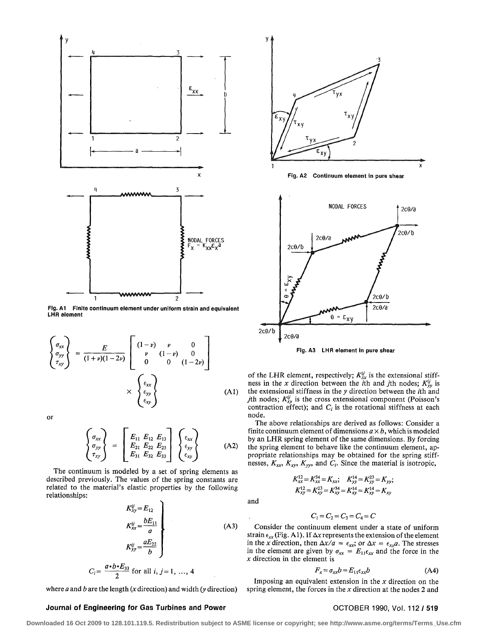

**Fig. A1 Finite continuum element under uniform strain and equivalent LHR element** 

$$
\begin{cases}\n\sigma_{xx} \\
\sigma_{yy} \\
\tau_{xy}\n\end{cases} = \frac{E}{(1+\nu)(1-2\nu)} \begin{bmatrix}\n(1-\nu) & \nu & 0 \\
\nu & (1-\nu) & 0 \\
0 & 0 & (1-2\nu)\n\end{bmatrix} \times \begin{cases}\n\epsilon_{xx} \\
\epsilon_{yy} \\
\epsilon_{xy}\n\end{cases}
$$
\n(A1)

or

$$
\begin{Bmatrix}\n\sigma_{xx} \\
\sigma_{yy} \\
\tau_{xy}\n\end{Bmatrix} = \begin{bmatrix}\nE_{11} & E_{12} & E_{13} \\
E_{21} & E_{22} & E_{23} \\
E_{31} & E_{32} & E_{33}\n\end{bmatrix} \begin{Bmatrix}\n\epsilon_{xx} \\
\epsilon_{yy} \\
\epsilon_{xy}\n\end{Bmatrix}
$$
\n(A2)

The continuum is modeled by a set of spring elements as described previously. The values of the spring constants are related to the material's elastic properties by the following relationships:

$$
K_{xy}^{ij} = E_{12}
$$
\n
$$
K_{xx}^{ij} = \frac{bE_{11}}{a}
$$
\n
$$
K_{yy}^{ij} = \frac{aE_{22}}{b}
$$
\n
$$
C_i = \frac{a \cdot b \cdot E_{33}}{2} \text{ for all } i, j = 1, ..., 4
$$
\n(A3)

where *a* and *b* are the length *(x* direction) and width *(y* direction)



**Fig. A2 Continuum element in pure shear** 



**Fig. A3 LHR element in pure shear** 

of the LHR element, respectively;  $K^{ij}_{xx}$  is the extensional stiffness in the *x* direction between the *i*th and *j*th nodes;  $K_{yy}^{ij}$  is the extensional stiffness in the *y* direction between the rth and *j*th nodes;  $K_{xy}^{ij}$  is the cross extensional component (Poisson's contraction effect); and  $C_i$  is the rotational stiffness at each node.

The above relationships are derived as follows: Consider a finite continuum element of dimensions  $a \times b$ , which is modeled by an LHR spring element of the same dimensions. By forcing the spring element to behave like the continuum element, appropriate relationships may be obtained for the spring stiffnesses, *Kxx, Kxy, Kyy,* and *Cj.* Since the material is isotropic,

 $K_{xx}^{12} = K_{xx}^{34} = K_{xx};$   $K_{yy}^{14} = K_{yy}^{23} = K_{yy};$ 

 $K_{xy}^{12} = K_{xy}^{23} = K_{xy}^{34} = K_{xy}^{14} = K_{xy}^{14} = K_{xy}$ 

and

$$
C_1 = C_2 = C_3 = C_4 = C
$$

Consider the continuum element under a state of uniform strain  $\epsilon_{xx}$  (Fig. A1). If  $\Delta x$  represents the extension of the element in the *x* direction, then  $\Delta x/a = \epsilon_{xx}$ ; or  $\Delta x = \epsilon_{xx}a$ . The stresses in the element are given by  $\sigma_{xx} = E_{11} \epsilon_{xx}$  and the force in the *x* direction in the element is

$$
F_x = \sigma_{xx} b = E_{11} \epsilon_{xx} b \tag{A4}
$$

Imposing an equivalent extension in the *x* direction on the spring element, the forces in the *x* direction at the nodes 2 and

### **Journal of Engineering for Gas Turbines and Power <b>COLOBER 1990, Vol. 112** / 519